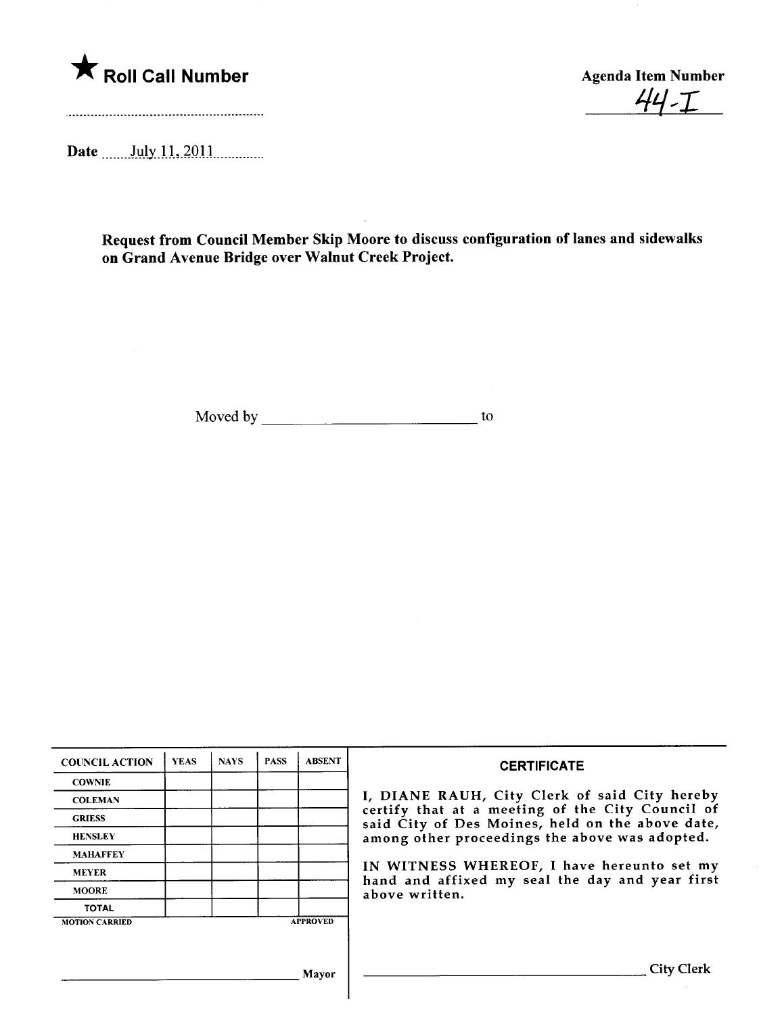

 $44 - I$ 

Date \_\_\_\_\_\_ July 11, 2011 \_\_\_\_\_\_\_\_\_

Request from Council Member Skip Moore to discuss configuration of lanes and sidewalks on Grand Avenue Bridge over Walnut Creek Project.

Moved by to

| <b>COUNCIL ACTION</b> | <b>YEAS</b> | <b>NAYS</b> | <b>PASS</b> | <b>ABSENT</b>   | <b>CERTIFICATE</b>                                                                                                                                                                                                                                                                                                         |
|-----------------------|-------------|-------------|-------------|-----------------|----------------------------------------------------------------------------------------------------------------------------------------------------------------------------------------------------------------------------------------------------------------------------------------------------------------------------|
| <b>COWNIE</b>         |             |             |             |                 | I, DIANE RAUH, City Clerk of said City hereby<br>certify that at a meeting of the City Council of<br>said City of Des Moines, held on the above date,<br>among other proceedings the above was adopted.<br>IN WITNESS WHEREOF, I have hereunto set my<br>hand and affixed my seal the day and year first<br>above written. |
| <b>COLEMAN</b>        |             |             |             |                 |                                                                                                                                                                                                                                                                                                                            |
| <b>GRIESS</b>         |             |             |             |                 |                                                                                                                                                                                                                                                                                                                            |
| <b>HENSLEY</b>        |             |             |             |                 |                                                                                                                                                                                                                                                                                                                            |
| <b>MAHAFFEY</b>       |             |             |             |                 |                                                                                                                                                                                                                                                                                                                            |
| <b>MEYER</b>          |             |             |             |                 |                                                                                                                                                                                                                                                                                                                            |
| <b>MOORE</b>          |             |             |             |                 |                                                                                                                                                                                                                                                                                                                            |
| <b>TOTAL</b>          |             |             |             |                 |                                                                                                                                                                                                                                                                                                                            |
| <b>MOTION CARRIED</b> |             |             |             | <b>APPROVED</b> |                                                                                                                                                                                                                                                                                                                            |
|                       |             |             |             |                 |                                                                                                                                                                                                                                                                                                                            |
|                       |             |             |             |                 |                                                                                                                                                                                                                                                                                                                            |
|                       |             |             |             | Mavor           | City Clerk                                                                                                                                                                                                                                                                                                                 |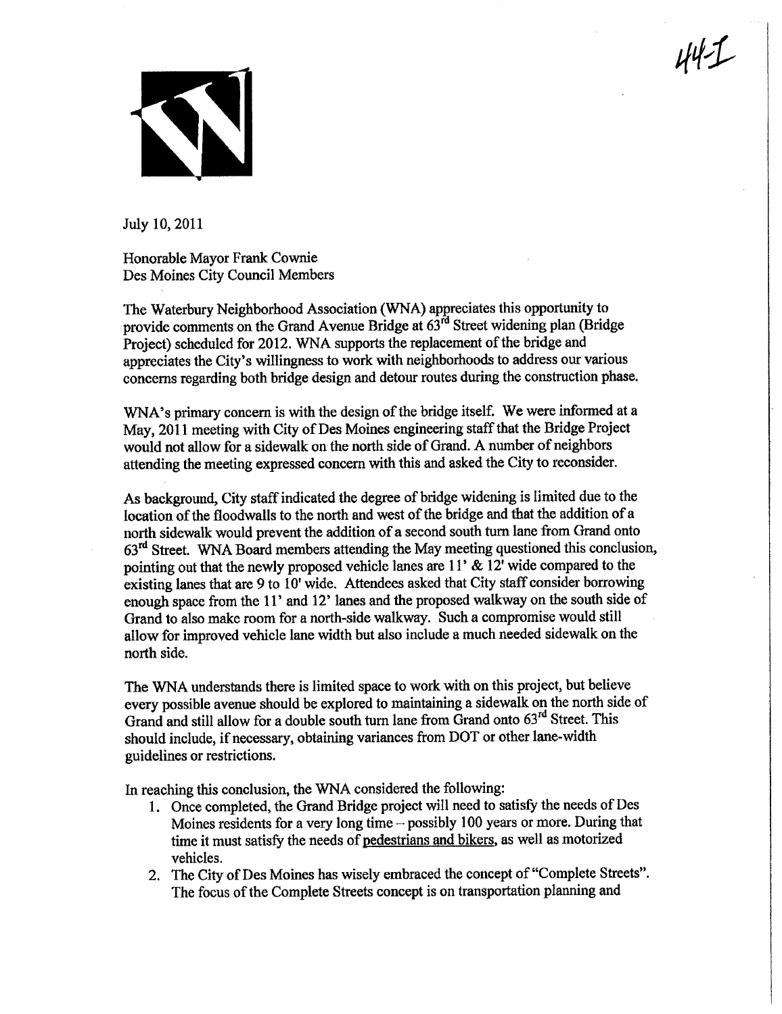

July 10, 2011

Honorable Mayor Frank Cownie Des Moines City Council Members

The Waterbury Neighborhood Association (WNA) appreciates this opportunity to provide comments on the Grand Avenue Bridge at  $63^{rd}$  Street widening plan (Bridge Project) scheduled for 2012. WNA supports the replacement of the bridge and appreciates the City's willingness to work with neighborhoods to address our various concerns regarding both bridge design and detour routes during the construction phase.  $44 - 1$ 

WNA's primary concern is with the design of the bridge itself. We were informed at a May, 2011 meeting with City of Des Moines engineering staff that the Bridge Project would not allow for a sidewalk on the north side of Grand. A number of neighbors attending the meeting expressed concern with this and asked the City to reconsider.

As background, City staff indicated the degree of bridge widening is limited due to the location of the floodwalls to the north and west of the bridge and that the addition of a north sidewalk would prevent the addition of a second south turn lane from Grand onto 63rd Street. WNA Board members attending the May meeting questioned ths conclusion, pointing out that the newly proposed vehicle lanes are  $11'$  &  $12'$  wide compared to the existing lanes that are 9 to 10' wide. Attendees asked that City staff consider borrowing enough space from the 11' and 12' lanes and the proposed walkway on the south side of Grand to also make room for a north-side walkway. Such a compromise would stil allow for improved vehicle lane width but also include a much needed sidewalk on the north side.

The WNA understads there is limited space to work with on this project, but believe every possible avenue should be explored to maintainig a sidewalk on the north side of Grand and still allow for a double south turn lane from Grand onto 63<sup>rd</sup> Street. This should include, if necessary, obtaining variances from DOT or other lane-width guidelines or restrictions.

In reaching this conclusion, the WNA considered the following:

- 1. Once completed, the Grand Bridge project will need to satisfy the needs of Des Moines residents for a very long time - possibly 100 years or more. During that time it must satisfy the needs of pedestrians and bikers, as well as motorized vehicles.
- 2. The City of Des Moines has wisely embraced the concept of "Complete Streets". The focus of the Complete Streets concept is on transportation planning and